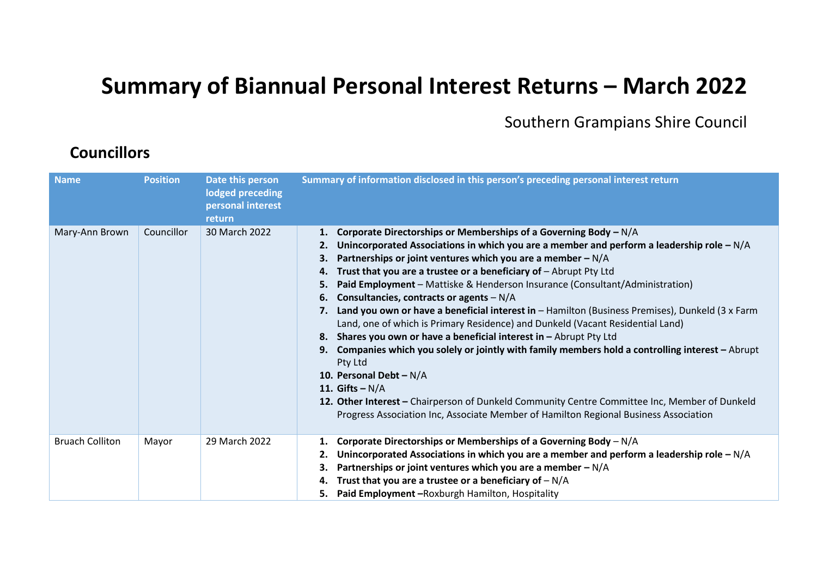## **Summary of Biannual Personal Interest Returns – March 2022**

Southern Grampians Shire Council

## **Councillors**

| <b>Name</b>            | <b>Position</b> | Date this person<br>lodged preceding<br>personal interest<br>return | Summary of information disclosed in this person's preceding personal interest return                                                                                                                                                                                                                                                                                                                                                                                                                                                                                                                                                                                                                                                                                                                                                                                                                                                                                                                                                                                                                  |
|------------------------|-----------------|---------------------------------------------------------------------|-------------------------------------------------------------------------------------------------------------------------------------------------------------------------------------------------------------------------------------------------------------------------------------------------------------------------------------------------------------------------------------------------------------------------------------------------------------------------------------------------------------------------------------------------------------------------------------------------------------------------------------------------------------------------------------------------------------------------------------------------------------------------------------------------------------------------------------------------------------------------------------------------------------------------------------------------------------------------------------------------------------------------------------------------------------------------------------------------------|
| Mary-Ann Brown         | Councillor      | 30 March 2022                                                       | 1. Corporate Directorships or Memberships of a Governing Body $-N/A$<br>Unincorporated Associations in which you are a member and perform a leadership role $-N/A$<br>2.<br>Partnerships or joint ventures which you are a member $-N/A$<br>З.<br>Trust that you are a trustee or a beneficiary of $-$ Abrupt Pty Ltd<br>4.<br>Paid Employment - Mattiske & Henderson Insurance (Consultant/Administration)<br>5.<br>Consultancies, contracts or agents $-N/A$<br>6.<br>Land you own or have a beneficial interest in - Hamilton (Business Premises), Dunkeld (3 x Farm<br>7.<br>Land, one of which is Primary Residence) and Dunkeld (Vacant Residential Land)<br>8. Shares you own or have a beneficial interest in - Abrupt Pty Ltd<br>Companies which you solely or jointly with family members hold a controlling interest $-A$ brupt<br>9.<br>Pty Ltd<br>10. Personal Debt - $N/A$<br>11. Gifts $-N/A$<br>12. Other Interest - Chairperson of Dunkeld Community Centre Committee Inc, Member of Dunkeld<br>Progress Association Inc, Associate Member of Hamilton Regional Business Association |
| <b>Bruach Colliton</b> | Mayor           | 29 March 2022                                                       | Corporate Directorships or Memberships of a Governing Body $-N/A$<br>1.<br>Unincorporated Associations in which you are a member and perform a leadership role $-N/A$<br>2.<br>Partnerships or joint ventures which you are a member $-N/A$<br>З.<br>Trust that you are a trustee or a beneficiary of $-N/A$<br>4.<br>5. Paid Employment - Roxburgh Hamilton, Hospitality                                                                                                                                                                                                                                                                                                                                                                                                                                                                                                                                                                                                                                                                                                                             |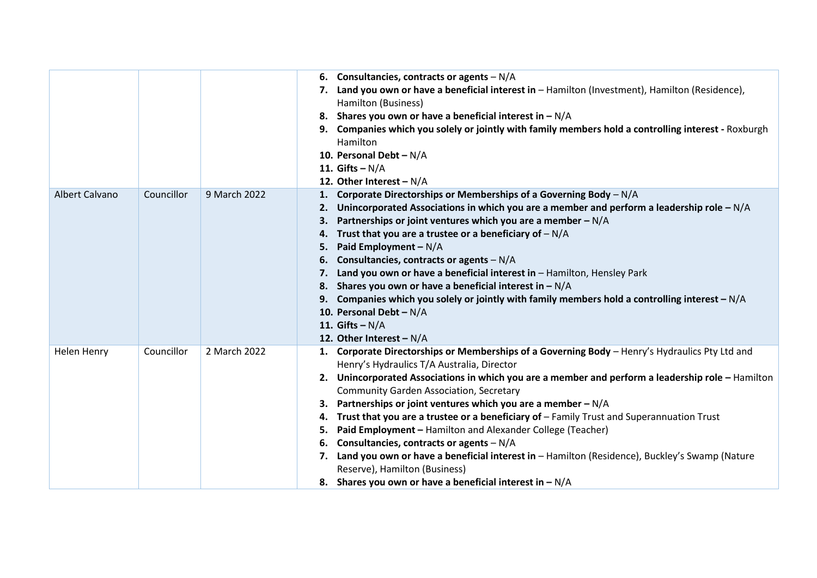|                |            |              | 6. Consultancies, contracts or agents $-N/A$<br>Land you own or have a beneficial interest in - Hamilton (Investment), Hamilton (Residence),<br>7.<br>Hamilton (Business)<br>8. Shares you own or have a beneficial interest in $-N/A$<br>Companies which you solely or jointly with family members hold a controlling interest - Roxburgh<br>Hamilton<br>10. Personal Debt - N/A<br>11. Gifts $-N/A$<br>12. Other Interest - N/A                                                                                                                                                                                                                                                                                                                                                                    |
|----------------|------------|--------------|------------------------------------------------------------------------------------------------------------------------------------------------------------------------------------------------------------------------------------------------------------------------------------------------------------------------------------------------------------------------------------------------------------------------------------------------------------------------------------------------------------------------------------------------------------------------------------------------------------------------------------------------------------------------------------------------------------------------------------------------------------------------------------------------------|
| Albert Calvano | Councillor | 9 March 2022 | 1. Corporate Directorships or Memberships of a Governing Body - N/A<br>Unincorporated Associations in which you are a member and perform a leadership role $-N/A$<br>2.<br>Partnerships or joint ventures which you are a member - N/A<br>3.<br>Trust that you are a trustee or a beneficiary of $-N/A$<br>4.<br>Paid Employment - N/A<br>5.<br>Consultancies, contracts or agents $-N/A$<br>6.<br>Land you own or have a beneficial interest in - Hamilton, Hensley Park<br>7.<br>Shares you own or have a beneficial interest in $-N/A$<br>8.<br>9. Companies which you solely or jointly with family members hold a controlling interest - N/A<br>10. Personal Debt - N/A<br>11. Gifts $-N/A$<br>12. Other Interest - $N/A$                                                                       |
| Helen Henry    | Councillor | 2 March 2022 | 1. Corporate Directorships or Memberships of a Governing Body - Henry's Hydraulics Pty Ltd and<br>Henry's Hydraulics T/A Australia, Director<br>Unincorporated Associations in which you are a member and perform a leadership role - Hamilton<br>2.<br><b>Community Garden Association, Secretary</b><br>Partnerships or joint ventures which you are a member $-N/A$<br>Trust that you are a trustee or a beneficiary of - Family Trust and Superannuation Trust<br>4.<br>Paid Employment - Hamilton and Alexander College (Teacher)<br>5.<br>Consultancies, contracts or agents $-N/A$<br>6.<br>Land you own or have a beneficial interest in - Hamilton (Residence), Buckley's Swamp (Nature<br>7.<br>Reserve), Hamilton (Business)<br>8. Shares you own or have a beneficial interest in $-N/A$ |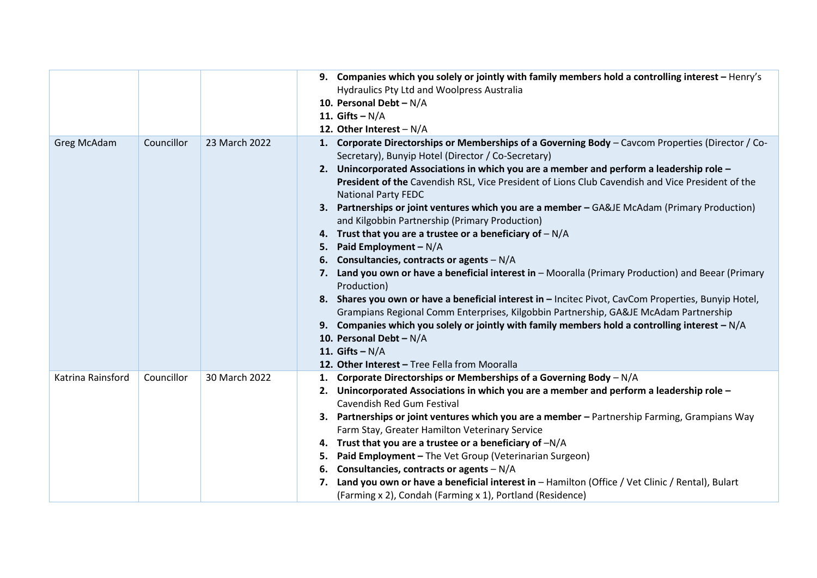|                   |            |               | 9. Companies which you solely or jointly with family members hold a controlling interest - Henry's                                                      |
|-------------------|------------|---------------|---------------------------------------------------------------------------------------------------------------------------------------------------------|
|                   |            |               | Hydraulics Pty Ltd and Woolpress Australia                                                                                                              |
|                   |            |               | 10. Personal Debt - N/A                                                                                                                                 |
|                   |            |               | 11. Gifts $-N/A$                                                                                                                                        |
|                   |            |               | 12. Other Interest - N/A                                                                                                                                |
| Greg McAdam       | Councillor | 23 March 2022 | 1. Corporate Directorships or Memberships of a Governing Body - Cavcom Properties (Director / Co-<br>Secretary), Bunyip Hotel (Director / Co-Secretary) |
|                   |            |               | 2. Unincorporated Associations in which you are a member and perform a leadership role -                                                                |
|                   |            |               | President of the Cavendish RSL, Vice President of Lions Club Cavendish and Vice President of the<br><b>National Party FEDC</b>                          |
|                   |            |               | 3. Partnerships or joint ventures which you are a member - GA&JE McAdam (Primary Production)<br>and Kilgobbin Partnership (Primary Production)          |
|                   |            |               | 4. Trust that you are a trustee or a beneficiary of $-N/A$                                                                                              |
|                   |            |               | Paid Employment $-N/A$<br>5.                                                                                                                            |
|                   |            |               | 6. Consultancies, contracts or agents $-N/A$                                                                                                            |
|                   |            |               | Land you own or have a beneficial interest in - Mooralla (Primary Production) and Beear (Primary<br>7.<br>Production)                                   |
|                   |            |               | 8. Shares you own or have a beneficial interest in - Incitec Pivot, CavCom Properties, Bunyip Hotel,                                                    |
|                   |            |               | Grampians Regional Comm Enterprises, Kilgobbin Partnership, GA&JE McAdam Partnership                                                                    |
|                   |            |               | 9. Companies which you solely or jointly with family members hold a controlling interest $-N/A$                                                         |
|                   |            |               | 10. Personal Debt - N/A                                                                                                                                 |
|                   |            |               | 11. Gifts $-N/A$                                                                                                                                        |
|                   |            |               | 12. Other Interest - Tree Fella from Mooralla                                                                                                           |
| Katrina Rainsford | Councillor | 30 March 2022 | 1. Corporate Directorships or Memberships of a Governing Body - N/A                                                                                     |
|                   |            |               | Unincorporated Associations in which you are a member and perform a leadership role -<br>2.                                                             |
|                   |            |               | Cavendish Red Gum Festival                                                                                                                              |
|                   |            |               | 3. Partnerships or joint ventures which you are a member - Partnership Farming, Grampians Way                                                           |
|                   |            |               | Farm Stay, Greater Hamilton Veterinary Service                                                                                                          |
|                   |            |               | 4. Trust that you are a trustee or a beneficiary of $-N/A$                                                                                              |
|                   |            |               | Paid Employment - The Vet Group (Veterinarian Surgeon)<br>5.                                                                                            |
|                   |            |               | Consultancies, contracts or agents $-N/A$<br>6.                                                                                                         |
|                   |            |               | Land you own or have a beneficial interest in - Hamilton (Office / Vet Clinic / Rental), Bulart<br>7.                                                   |
|                   |            |               | (Farming x 2), Condah (Farming x 1), Portland (Residence)                                                                                               |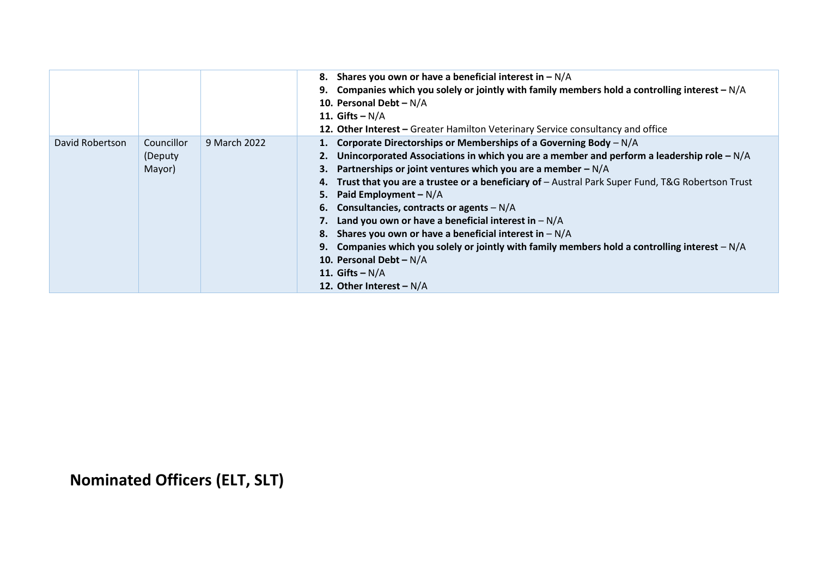|                 |                                  |              | Shares you own or have a beneficial interest in $-N/A$<br>8.<br>9. Companies which you solely or jointly with family members hold a controlling interest $-N/A$<br>10. Personal Debt - N/A<br>11. Gifts $-N/A$<br>12. Other Interest - Greater Hamilton Veterinary Service consultancy and office                                                                                                                                                                                                                                                                                                                                                                                                                                           |
|-----------------|----------------------------------|--------------|---------------------------------------------------------------------------------------------------------------------------------------------------------------------------------------------------------------------------------------------------------------------------------------------------------------------------------------------------------------------------------------------------------------------------------------------------------------------------------------------------------------------------------------------------------------------------------------------------------------------------------------------------------------------------------------------------------------------------------------------|
| David Robertson | Councillor<br>(Deputy)<br>Mayor) | 9 March 2022 | 1. Corporate Directorships or Memberships of a Governing Body - N/A<br>Unincorporated Associations in which you are a member and perform a leadership role $-N/A$<br>Partnerships or joint ventures which you are a member $-N/A$<br>З.<br>Trust that you are a trustee or a beneficiary of - Austral Park Super Fund, T&G Robertson Trust<br>4.<br>Paid Employment $-N/A$<br>5.<br>Consultancies, contracts or agents $-N/A$<br>6.<br>Land you own or have a beneficial interest in $-N/A$<br>8. Shares you own or have a beneficial interest in $-N/A$<br>Companies which you solely or jointly with family members hold a controlling interest $-N/A$<br>9.<br>10. Personal Debt - N/A<br>11. Gifts $-N/A$<br>12. Other Interest - $N/A$ |

**Nominated Officers (ELT, SLT)**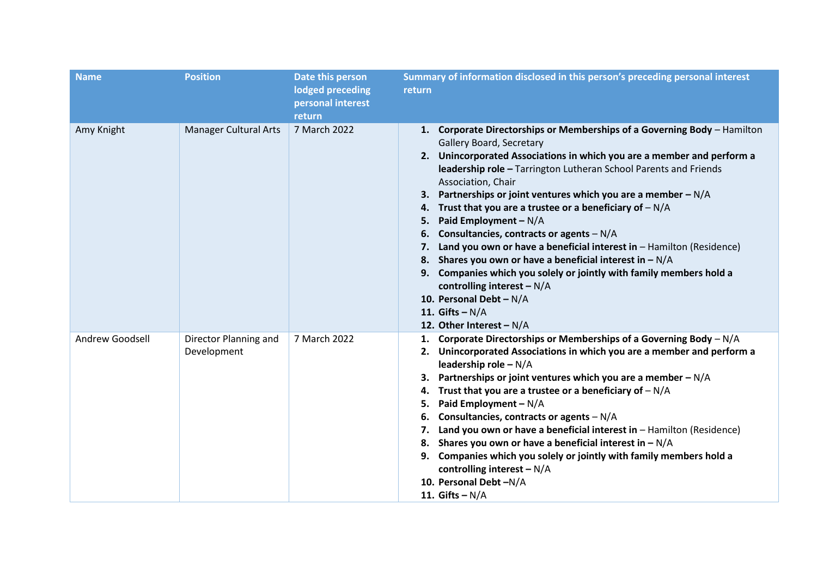| <b>Name</b>     | <b>Position</b>                      | Date this person<br>lodged preceding<br>personal interest<br>return | Summary of information disclosed in this person's preceding personal interest<br>return                                                                                                                                                                                                                                                                                                                                                                                                                                                                                                                                                                                                                                                                                                                                              |
|-----------------|--------------------------------------|---------------------------------------------------------------------|--------------------------------------------------------------------------------------------------------------------------------------------------------------------------------------------------------------------------------------------------------------------------------------------------------------------------------------------------------------------------------------------------------------------------------------------------------------------------------------------------------------------------------------------------------------------------------------------------------------------------------------------------------------------------------------------------------------------------------------------------------------------------------------------------------------------------------------|
| Amy Knight      | <b>Manager Cultural Arts</b>         | 7 March 2022                                                        | 1. Corporate Directorships or Memberships of a Governing Body - Hamilton<br>Gallery Board, Secretary<br>2. Unincorporated Associations in which you are a member and perform a<br>leadership role - Tarrington Lutheran School Parents and Friends<br>Association, Chair<br>Partnerships or joint ventures which you are a member $-N/A$<br>3.<br>Trust that you are a trustee or a beneficiary of $-N/A$<br>4.<br>Paid Employment - N/A<br>5.<br>Consultancies, contracts or agents $-N/A$<br>6.<br>Land you own or have a beneficial interest in - Hamilton (Residence)<br>7.<br>8. Shares you own or have a beneficial interest in $-N/A$<br>Companies which you solely or jointly with family members hold a<br>9.<br>controlling interest $-N/A$<br>10. Personal Debt - $N/A$<br>11. Gifts $-N/A$<br>12. Other Interest - $N/A$ |
| Andrew Goodsell | Director Planning and<br>Development | 7 March 2022                                                        | 1. Corporate Directorships or Memberships of a Governing Body - N/A<br>2. Unincorporated Associations in which you are a member and perform a<br>leadership role - N/A<br>Partnerships or joint ventures which you are a member $-N/A$<br>3.<br>Trust that you are a trustee or a beneficiary of $-N/A$<br>4.<br>Paid Employment - N/A<br>5.<br>Consultancies, contracts or agents $-N/A$<br>6.<br>Land you own or have a beneficial interest in $-$ Hamilton (Residence)<br>7.<br>8. Shares you own or have a beneficial interest in $-N/A$<br>Companies which you solely or jointly with family members hold a<br>9.<br>controlling interest $-N/A$<br>10. Personal Debt-N/A<br>11. Gifts $-N/A$                                                                                                                                   |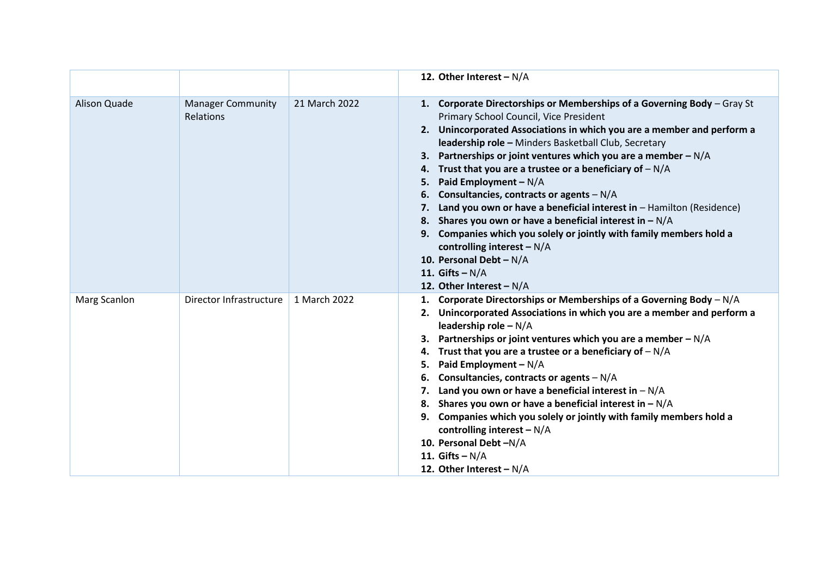|              |                                       |               | 12. Other Interest $-N/A$                                                                                                                                                                                                                                                                                                                                                                                                                                                                                                                                                                                                                                                                                                                                                                                       |
|--------------|---------------------------------------|---------------|-----------------------------------------------------------------------------------------------------------------------------------------------------------------------------------------------------------------------------------------------------------------------------------------------------------------------------------------------------------------------------------------------------------------------------------------------------------------------------------------------------------------------------------------------------------------------------------------------------------------------------------------------------------------------------------------------------------------------------------------------------------------------------------------------------------------|
| Alison Quade | <b>Manager Community</b><br>Relations | 21 March 2022 | 1. Corporate Directorships or Memberships of a Governing Body - Gray St<br>Primary School Council, Vice President<br>2. Unincorporated Associations in which you are a member and perform a<br>leadership role - Minders Basketball Club, Secretary<br>Partnerships or joint ventures which you are a member $-N/A$<br>3.<br>Trust that you are a trustee or a beneficiary of $-N/A$<br>4.<br>Paid Employment $-N/A$<br>5.<br>Consultancies, contracts or agents $-N/A$<br>6.<br>Land you own or have a beneficial interest in $-$ Hamilton (Residence)<br>7.<br>8. Shares you own or have a beneficial interest in $-N/A$<br>9. Companies which you solely or jointly with family members hold a<br>controlling interest $-N/A$<br>10. Personal Debt - $N/A$<br>11. Gifts $-N/A$<br>12. Other Interest - $N/A$ |
| Marg Scanlon | Director Infrastructure               | 1 March 2022  | 1. Corporate Directorships or Memberships of a Governing Body - N/A<br>2. Unincorporated Associations in which you are a member and perform a<br>leadership role $- N/A$<br>Partnerships or joint ventures which you are a member $-N/A$<br>3.<br>Trust that you are a trustee or a beneficiary of $-N/A$<br>4.<br>Paid Employment $-N/A$<br>5.<br>Consultancies, contracts or agents $-N/A$<br>6.<br>Land you own or have a beneficial interest in $-N/A$<br>8. Shares you own or have a beneficial interest in $-N/A$<br>9. Companies which you solely or jointly with family members hold a<br>controlling interest $-N/A$<br>10. Personal Debt-N/A<br>11. Gifts $-N/A$<br>12. Other Interest $-N/A$                                                                                                         |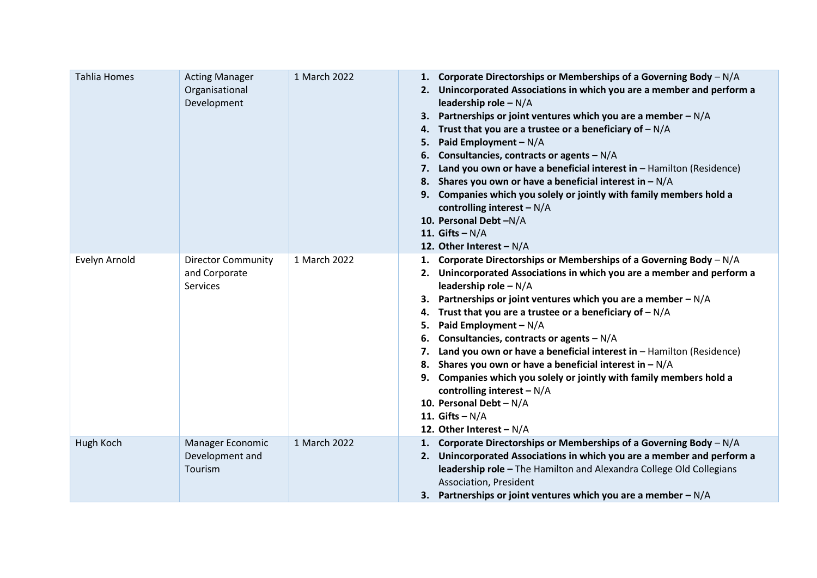| <b>Tahlia Homes</b> | <b>Acting Manager</b><br>Organisational<br>Development        | 1 March 2022 | 1. Corporate Directorships or Memberships of a Governing Body - N/A<br>Unincorporated Associations in which you are a member and perform a<br>2.<br>leadership role $-N/A$<br>Partnerships or joint ventures which you are a member $-N/A$<br>3.<br>Trust that you are a trustee or a beneficiary of $-N/A$<br>4.<br>Paid Employment - N/A<br>5.<br>Consultancies, contracts or agents $-N/A$<br>6.<br>Land you own or have a beneficial interest in - Hamilton (Residence)<br>Shares you own or have a beneficial interest in $-N/A$<br>8.<br>Companies which you solely or jointly with family members hold a<br>9.<br>controlling interest $-N/A$<br>10. Personal Debt-N/A<br>11. Gifts $-N/A$<br>12. Other Interest - $N/A$ |
|---------------------|---------------------------------------------------------------|--------------|---------------------------------------------------------------------------------------------------------------------------------------------------------------------------------------------------------------------------------------------------------------------------------------------------------------------------------------------------------------------------------------------------------------------------------------------------------------------------------------------------------------------------------------------------------------------------------------------------------------------------------------------------------------------------------------------------------------------------------|
| Evelyn Arnold       | <b>Director Community</b><br>and Corporate<br><b>Services</b> | 1 March 2022 | 1. Corporate Directorships or Memberships of a Governing Body - N/A<br>Unincorporated Associations in which you are a member and perform a<br>leadership role - N/A<br>Partnerships or joint ventures which you are a member $-N/A$<br>3.<br>Trust that you are a trustee or a beneficiary of $-N/A$<br>4.<br>Paid Employment - N/A<br>5.<br>Consultancies, contracts or agents $-N/A$<br>6.<br>Land you own or have a beneficial interest in - Hamilton (Residence)<br>7.<br>Shares you own or have a beneficial interest in $-N/A$<br>8.<br>Companies which you solely or jointly with family members hold a<br>controlling interest $-N/A$<br>10. Personal Debt - N/A<br>11. Gifts $-N/A$<br>12. Other Interest - $N/A$      |
| Hugh Koch           | Manager Economic<br>Development and<br>Tourism                | 1 March 2022 | Corporate Directorships or Memberships of a Governing Body - N/A<br>1.<br>2. Unincorporated Associations in which you are a member and perform a<br>leadership role - The Hamilton and Alexandra College Old Collegians<br>Association, President<br>3. Partnerships or joint ventures which you are a member $-N/A$                                                                                                                                                                                                                                                                                                                                                                                                            |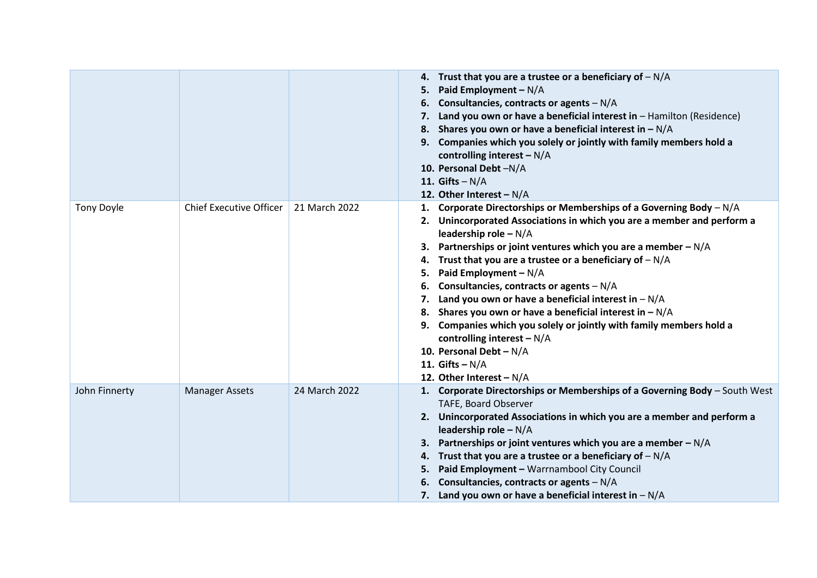|                   |                                |               | 4. Trust that you are a trustee or a beneficiary of $-N/A$<br>Paid Employment - $N/A$<br>5.<br>Consultancies, contracts or agents $-N/A$<br>6.<br>Land you own or have a beneficial interest in $-$ Hamilton (Residence)<br>8. Shares you own or have a beneficial interest in $-N/A$<br>9. Companies which you solely or jointly with family members hold a<br>controlling interest $-N/A$<br>10. Personal Debt-N/A<br>11. Gifts $-N/A$<br>12. Other Interest - $N/A$                                                                                                                                                                                                                                         |
|-------------------|--------------------------------|---------------|----------------------------------------------------------------------------------------------------------------------------------------------------------------------------------------------------------------------------------------------------------------------------------------------------------------------------------------------------------------------------------------------------------------------------------------------------------------------------------------------------------------------------------------------------------------------------------------------------------------------------------------------------------------------------------------------------------------|
| <b>Tony Doyle</b> | <b>Chief Executive Officer</b> | 21 March 2022 | 1. Corporate Directorships or Memberships of a Governing Body $-N/A$<br>2. Unincorporated Associations in which you are a member and perform a<br>leadership role - N/A<br>Partnerships or joint ventures which you are a member $-N/A$<br>3.<br>Trust that you are a trustee or a beneficiary of $-N/A$<br>4.<br>Paid Employment - N/A<br>5.<br>Consultancies, contracts or agents $-N/A$<br>6.<br>Land you own or have a beneficial interest in $-N/A$<br>7.<br>8. Shares you own or have a beneficial interest in $-N/A$<br>9. Companies which you solely or jointly with family members hold a<br>controlling interest $-N/A$<br>10. Personal Debt - N/A<br>11. Gifts $-N/A$<br>12. Other Interest - $N/A$ |
| John Finnerty     | <b>Manager Assets</b>          | 24 March 2022 | 1. Corporate Directorships or Memberships of a Governing Body - South West<br>TAFE, Board Observer<br>2. Unincorporated Associations in which you are a member and perform a<br>leadership role $-N/A$<br>Partnerships or joint ventures which you are a member $-N/A$<br>3.<br>Trust that you are a trustee or a beneficiary of $-N/A$<br>4.<br>Paid Employment - Warrnambool City Council<br>5.<br>Consultancies, contracts or agents $-N/A$<br>7. Land you own or have a beneficial interest in $-N/A$                                                                                                                                                                                                      |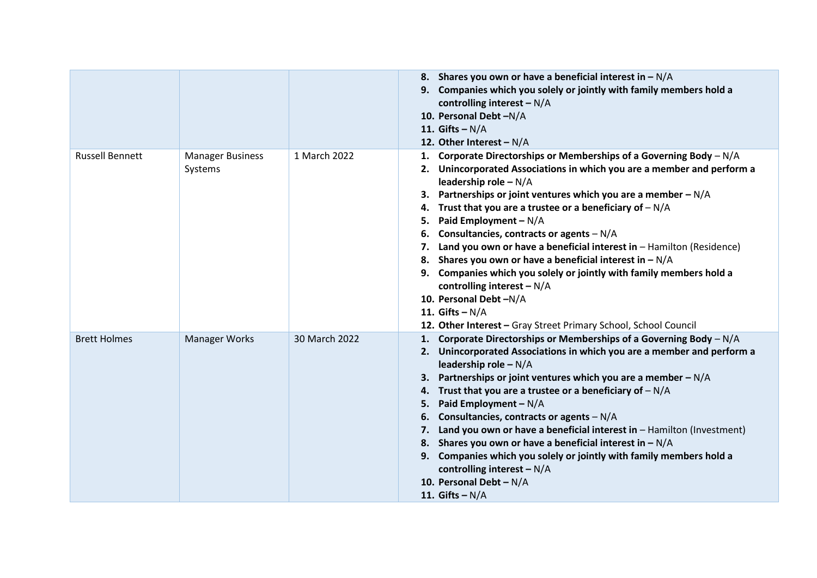|                        |                                    |               | 8. Shares you own or have a beneficial interest in $-N/A$<br>9. Companies which you solely or jointly with family members hold a<br>controlling interest $-N/A$<br>10. Personal Debt-N/A<br>11. Gifts $-N/A$<br>12. Other Interest - $N/A$                                                                                                                                                                                                                                                                                                                                                                                                                                                                                                                 |
|------------------------|------------------------------------|---------------|------------------------------------------------------------------------------------------------------------------------------------------------------------------------------------------------------------------------------------------------------------------------------------------------------------------------------------------------------------------------------------------------------------------------------------------------------------------------------------------------------------------------------------------------------------------------------------------------------------------------------------------------------------------------------------------------------------------------------------------------------------|
| <b>Russell Bennett</b> | <b>Manager Business</b><br>Systems | 1 March 2022  | 1. Corporate Directorships or Memberships of a Governing Body $-N/A$<br>2. Unincorporated Associations in which you are a member and perform a<br>leadership role $-N/A$<br>3. Partnerships or joint ventures which you are a member $-N/A$<br>4. Trust that you are a trustee or a beneficiary of $-N/A$<br>Paid Employment $-N/A$<br>5.<br>Consultancies, contracts or agents $-N/A$<br>6.<br>7. Land you own or have a beneficial interest in - Hamilton (Residence)<br>8. Shares you own or have a beneficial interest in $-N/A$<br>9. Companies which you solely or jointly with family members hold a<br>controlling interest $-N/A$<br>10. Personal Debt-N/A<br>11. Gifts $-N/A$<br>12. Other Interest - Gray Street Primary School, School Council |
| <b>Brett Holmes</b>    | <b>Manager Works</b>               | 30 March 2022 | 1. Corporate Directorships or Memberships of a Governing Body $-N/A$<br>2. Unincorporated Associations in which you are a member and perform a<br>leadership role $-N/A$<br>3. Partnerships or joint ventures which you are a member $-N/A$<br>4. Trust that you are a trustee or a beneficiary of $-N/A$<br>Paid Employment $-N/A$<br>5.<br>6. Consultancies, contracts or agents $-N/A$<br>7. Land you own or have a beneficial interest in - Hamilton (Investment)<br>8. Shares you own or have a beneficial interest in $-N/A$<br>9. Companies which you solely or jointly with family members hold a<br>controlling interest $-N/A$<br>10. Personal Debt - $N/A$<br>11. Gifts $-N/A$                                                                  |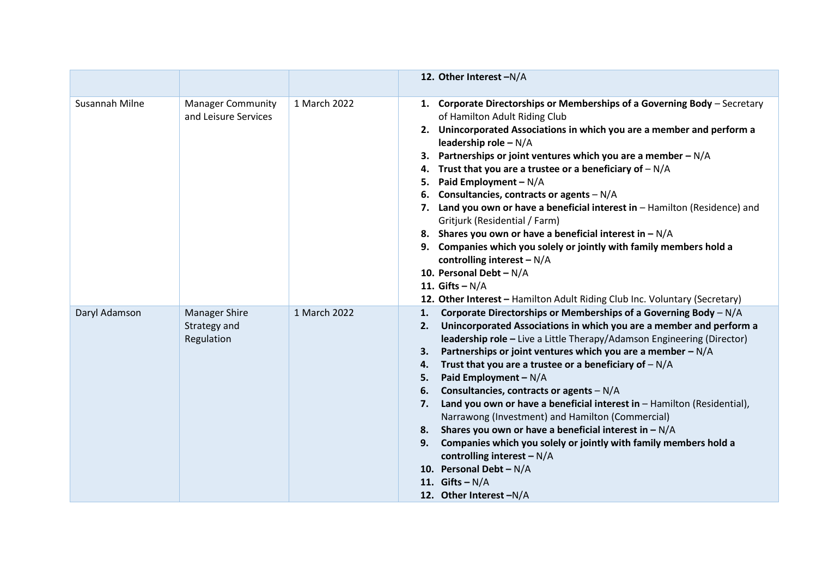|                |                                                    |              | 12. Other Interest -N/A                                                                                                                                                                                                                                                                                                                                                                                                                                                                                                                                                                                                                                                                                                                                                                                                                       |
|----------------|----------------------------------------------------|--------------|-----------------------------------------------------------------------------------------------------------------------------------------------------------------------------------------------------------------------------------------------------------------------------------------------------------------------------------------------------------------------------------------------------------------------------------------------------------------------------------------------------------------------------------------------------------------------------------------------------------------------------------------------------------------------------------------------------------------------------------------------------------------------------------------------------------------------------------------------|
| Susannah Milne | <b>Manager Community</b><br>and Leisure Services   | 1 March 2022 | 1. Corporate Directorships or Memberships of a Governing Body - Secretary<br>of Hamilton Adult Riding Club<br>2. Unincorporated Associations in which you are a member and perform a<br>leadership role - N/A<br>3. Partnerships or joint ventures which you are a member $-N/A$<br>4. Trust that you are a trustee or a beneficiary of $-N/A$<br>Paid Employment - N/A<br>5.<br>6. Consultancies, contracts or agents $-N/A$<br>7. Land you own or have a beneficial interest in - Hamilton (Residence) and<br>Gritjurk (Residential / Farm)<br>8. Shares you own or have a beneficial interest in $-N/A$<br>9. Companies which you solely or jointly with family members hold a<br>controlling interest $-N/A$<br>10. Personal Debt - N/A<br>11. Gifts $-N/A$<br>12. Other Interest - Hamilton Adult Riding Club Inc. Voluntary (Secretary) |
| Daryl Adamson  | <b>Manager Shire</b><br>Strategy and<br>Regulation | 1 March 2022 | Corporate Directorships or Memberships of a Governing Body - N/A<br>1.<br>2. Unincorporated Associations in which you are a member and perform a<br>leadership role - Live a Little Therapy/Adamson Engineering (Director)<br>Partnerships or joint ventures which you are a member - N/A<br>3.<br>Trust that you are a trustee or a beneficiary of $-N/A$<br>4.<br>Paid Employment - N/A<br>5.<br>Consultancies, contracts or agents $-N/A$<br>6.<br>Land you own or have a beneficial interest in - Hamilton (Residential),<br>7.<br>Narrawong (Investment) and Hamilton (Commercial)<br>Shares you own or have a beneficial interest in $-N/A$<br>8.<br>Companies which you solely or jointly with family members hold a<br>9.<br>controlling interest $-N/A$<br>10. Personal Debt - $N/A$<br>11. Gifts $-N/A$<br>12. Other Interest -N/A  |